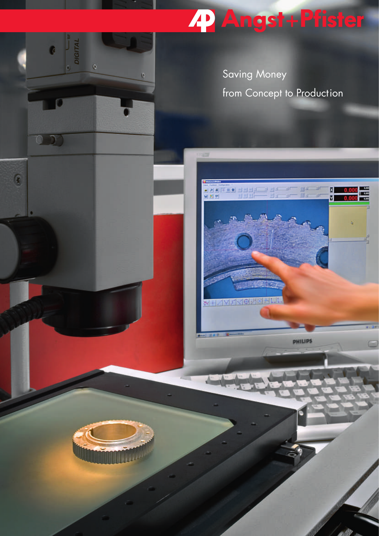# 22 Angst+Pfister

Saving Money from Concept to Production



DIGITAL

 $\bullet$ 

 $\mathbb Q$ 

a

۳ 国民社

 $\mathbb{P}[\mathbf{A}] \left[ \mathbf{F} \equiv \mathbf{0} \right] \equiv \left[ \pm \left[ \pm \right] \mathbf{A} \right] \quad \mathbf{A} \quad \mathbf{A} \quad \mathbf{A} \quad \mathbf{A} \quad \mathbf{A} \quad \mathbf{A} \quad \mathbf{A} \quad \mathbf{A} \quad \mathbf{A} \quad \mathbf{A} \quad \mathbf{A} \quad \mathbf{A} \quad \mathbf{A} \quad \mathbf{A} \quad \mathbf{A} \quad \mathbf{A} \quad \mathbf{A} \quad \mathbf{A} \quad \mathbf{A} \quad \mathbf{A} \quad \math$ 

**XHIMMAKIORI** 

Ġ

 $(0, 0)$ 

 $\mathbf{G}$ 

**PHILIPS** 

이비 tar<br>ar  $\begin{array}{|c|c|c|}\hline B&0.0 \\\hline \mbox{${\cal N}$}&0.0 \\\hline \end{array}$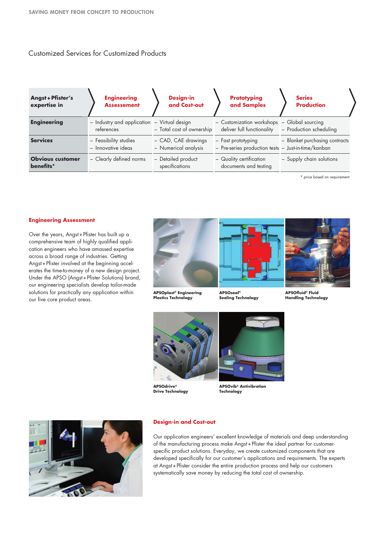# Customized Services for Customized Products

| Angst + Pfister's<br>expertise in    | <b>Engineering</b><br><b>Assessement</b>                  | <b>Design-in</b><br>and Cost-out            | <b>Prototyping</b><br>and Samples                                         | <b>Series</b><br><b>Production</b> |
|--------------------------------------|-----------------------------------------------------------|---------------------------------------------|---------------------------------------------------------------------------|------------------------------------|
| <b>Engineering</b>                   | - Industry and application - Virtual design<br>references | - Total cost of ownership                   | - Customization workshops - Global sourcing<br>deliver full functionality | - Production scheduling            |
| <b>Services</b>                      | - Feasibility studies<br>- Innovative ideas               | - CAD, CAE drawings<br>- Numerical analysis | - Fast prototyping<br>- Pre-series production tests - Just-in-time/kanban | - Blanket purchasing contracts     |
| <b>Obvious customer</b><br>benefits* | - Clearly defined norms                                   | - Detailed product<br>specifications        | - Quality certification<br>documents and testing                          | - Supply chain solutions           |

\* price based on requirement

## **Engineering Assessment**

Over the years, Angst+ Pfister has built up a comprehensive team of highly qualified application engineers who have amassed expertise across a broad range of industries. Getting Angst+ Pfister involved at the beginning accelerates the time-to-money of a new design project. Under the APSO (Angst+ Pfister Solutions) brand, our engineering specialists develop tailor-made solutions for practically any application within our five core product areas.



**APSOplast® Engineering Plastics Technology**

**APSOseal® Sealing Technology**



**APSOfluid® Fluid Handling Technology**



**APSOdrive® Drive Technology** **APSOvib® Antivibration Technology**



## **Design-in and Cost-out**

Our application engineers' excellent knowledge of materials and deep understanding of the manufacturing process make Angst+ Pfister the ideal partner for customerspecific product solutions. Everyday, we create customized components that are developed specifically for our customer's applications and requirements. The experts at Angst+ Pfister consider the entire production process and help our customers systematically save money by reducing the total cost of ownership.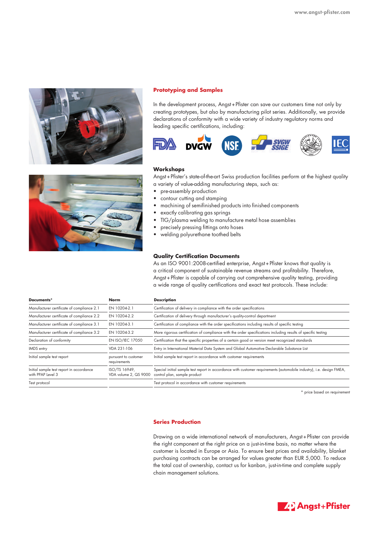

## **Prototyping and Samples**

In the development process, Angst+ Pfister can save our customers time not only by creating prototypes, but also by manufacturing pilot series. Additionally, we provide declarations of conformity with a wide variety of industry regulatory norms and leading specific certifications, including:



## **Workshops**

Angst+ Pfister's state-of-the-art Swiss production facilities perform at the highest quality a variety of value-adding manufacturing steps, such as:

- pre-assembly production
- contour cutting and stamping
- machining of semifinished products into finished components
- exactly calibrating gas springs
- TIG/plasma welding to manufacture metal hose assemblies
- precisely pressing fittings onto hoses
- welding polyurethane toothed belts

## **Quality Certification Documents**

As an ISO 9001:2008-certified enterprise, Angst+ Pfister knows that quality is a critical component of sustainable revenue streams and profitability. Therefore, Angst+ Pfister is capable of carrying out comprehensive quality testing, providing a wide range of quality certifications and exact test protocols. These include:

| Documents*                                                    | Norm                                   | <b>Description</b>                                                                                                                                   |  |
|---------------------------------------------------------------|----------------------------------------|------------------------------------------------------------------------------------------------------------------------------------------------------|--|
| Manufacturer certificate of compliance 2.1                    | EN 10204-2.1                           | Certification of delivery in compliance with the order specifications                                                                                |  |
| Manufacturer certificate of compliance 2.2                    | EN 10204-2.2                           | Certification of delivery through manufacturer's quality-control department                                                                          |  |
| Manufacturer certificate of compliance 3.1                    | EN 10204-3.1                           | Certification of compliance with the order specifications including results of specific testing                                                      |  |
| Manufacturer certificate of compliance 3.2                    | EN 10204-3.2                           | More rigorous certification of compliance with the order specifications including results of specific testing                                        |  |
| Declaration of conformity                                     | EN ISO/IEC 17050                       | Certification that the specific properties of a certain good or version meet recognized standards                                                    |  |
| IMDS entry                                                    | VDA 231-106                            | Entry in International Material Data System and Global Automotive Declarable Substance List                                                          |  |
| Initial sample test report                                    | pursuant to customer<br>requirements   | Initial sample test report in accordance with customer requirements                                                                                  |  |
| Initial sample test report in accordance<br>with PPAP Level 3 | ISO/TS 16949.<br>VDA volume 2, QS 9000 | Special initial sample test report in accordance with customer requirements (automobile industry), i.e. design FMEA,<br>control plan, sample product |  |
| Test protocol                                                 |                                        | Test protocol in accordance with customer requirements                                                                                               |  |
|                                                               |                                        |                                                                                                                                                      |  |

\* price based on requirement

## **Series Production**

Drawing on a wide international network of manufacturers, Angst+ Pfister can provide the right component at the right price on a just-in-time basis, no matter where the customer is located in Europe or Asia. To ensure best prices and availability, blanket purchasing contracts can be arranged for values greater than EUR 5,000. To reduce the total cost of ownership, contact us for kanban, just-in-time and complete supply chain management solutions.